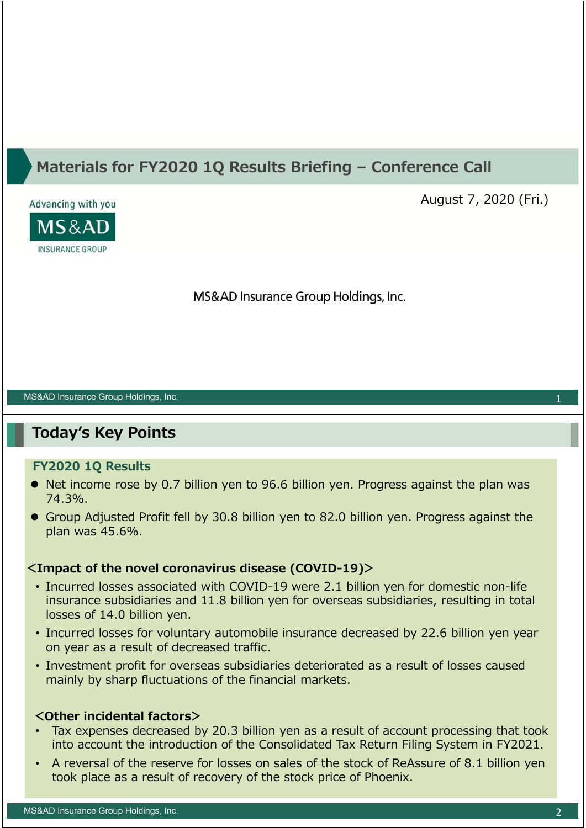## **Materials for FY2020 1Q Results Briefing – Conference Call**



August 7, 2020 (Fri.)

MS&AD Insurance Group Holdings, Inc.

#### MS&AD Insurance Group Holdings, Inc.

## **Today's Key Points**

#### **FY2020 1Q Results**

- Net income rose by 0.7 billion yen to 96.6 billion yen. Progress against the plan was 74.3%.
- Group Adjusted Profit fell by 30.8 billion yen to 82.0 billion yen. Progress against the plan was 45.6%.

### **<Impact of the novel coronavirus disease (COVID-19)>**

- Incurred losses associated with COVID-19 were 2.1 billion yen for domestic non-life insurance subsidiaries and 11.8 billion yen for overseas subsidiaries, resulting in total losses of 14.0 billion yen.
- Incurred losses for voluntary automobile insurance decreased by 22.6 billion yen year on year as a result of decreased traffic.
- Investment profit for overseas subsidiaries deteriorated as a result of losses caused mainly by sharp fluctuations of the financial markets.

### **<Other incidental factors>**

- Tax expenses decreased by 20.3 billion yen as a result of account processing that took into account the introduction of the Consolidated Tax Return Filing System in FY2021.
- A reversal of the reserve for losses on sales of the stock of ReAssure of 8.1 billion yen took place as a result of recovery of the stock price of Phoenix.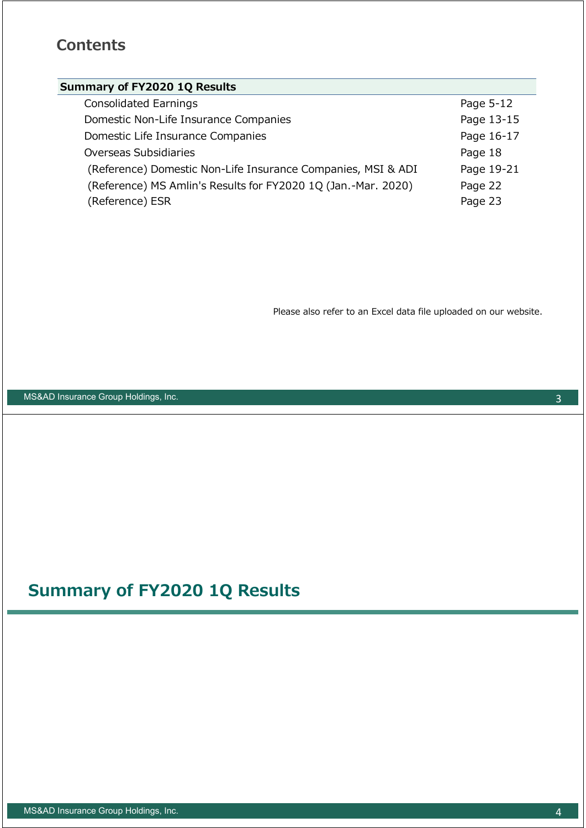## **Contents**

## **Summary of FY2020 1Q Results**

| <b>Consolidated Earnings</b>                                  | Page 5-12  |
|---------------------------------------------------------------|------------|
| Domestic Non-Life Insurance Companies                         | Page 13-15 |
| Domestic Life Insurance Companies                             | Page 16-17 |
| Overseas Subsidiaries                                         | Page 18    |
| (Reference) Domestic Non-Life Insurance Companies, MSI & ADI  | Page 19-21 |
| (Reference) MS Amlin's Results for FY2020 1Q (Jan.-Mar. 2020) | Page 22    |
| (Reference) ESR                                               | Page 23    |

Please also refer to an Excel data file uploaded on our website.

MS&AD Insurance Group Holdings, Inc.

# **Summary of FY2020 1Q Results**

3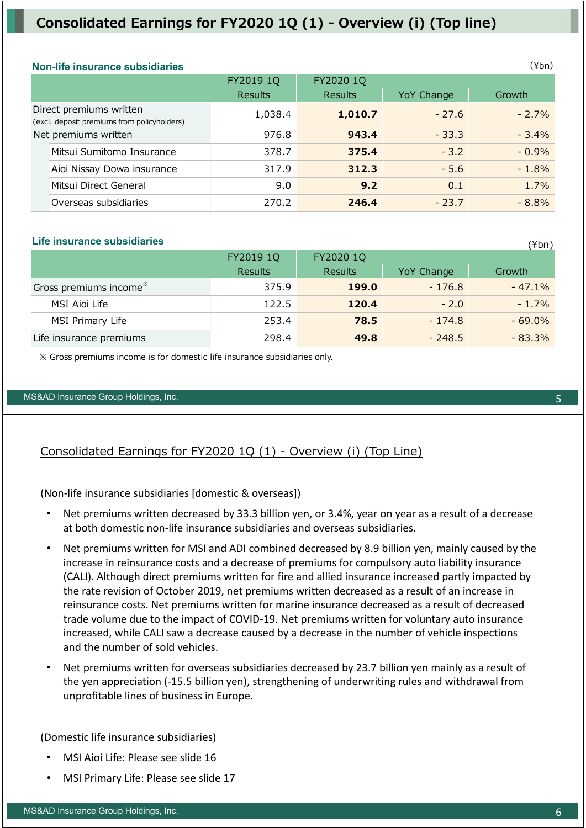## **Consolidated Earnings for FY2020 1Q (1) - Overview (i) (Top line)**

| <b>Non-life insurance subsidiaries</b>                                 |                |                |            | $(\n{Fbn})$ |
|------------------------------------------------------------------------|----------------|----------------|------------|-------------|
|                                                                        | FY2019 1Q      | FY2020 1Q      |            |             |
|                                                                        | <b>Results</b> | <b>Results</b> | YoY Change | Growth      |
| Direct premiums written<br>(excl. deposit premiums from policyholders) | 1,038.4        | 1,010.7        | $-27.6$    | $-2.7%$     |
| Net premiums written                                                   | 976.8          | 943.4          | $-33.3$    | $-3.4%$     |
| Mitsui Sumitomo Insurance                                              | 378.7          | 375.4          | $-3.2$     | $-0.9%$     |
| Aioi Nissay Dowa insurance                                             | 317.9          | 312.3          | $-5.6$     | $-1.8%$     |
| Mitsui Direct General                                                  | 9.0            | 9.2            | 0.1        | 1.7%        |
| Overseas subsidiaries                                                  | 270.2          | 246.4          | $-23.7$    | $-8.8%$     |

#### **Life insurance subsidiaries**

|                                    | FY2019 1Q      | FY2020 1Q      |            |           |  |
|------------------------------------|----------------|----------------|------------|-----------|--|
|                                    | <b>Results</b> | <b>Results</b> | YoY Change | Growth    |  |
| Gross premiums income <sup>*</sup> | 375.9          | 199.0          | $-176.8$   | $-47.1\%$ |  |
| MSI Aioi Life                      | 122.5          | 120.4          | $-2.0$     | $-1.7\%$  |  |
| MSI Primary Life                   | 253.4          | 78.5           | $-174.8$   | $-69.0\%$ |  |
| Life insurance premiums            | 298.4          | 49.8           | $-248.5$   | $-83.3\%$ |  |

※ Gross premiums income is for domestic life insurance subsidiaries only.

#### MS&AD Insurance Group Holdings, Inc. 5

## Consolidated Earnings for FY2020 1Q (1) - Overview (i) (Top Line)

(Non‐life insurance subsidiaries [domestic & overseas])

- Net premiums written decreased by 33.3 billion yen, or 3.4%, year on year as a result of a decrease at both domestic non‐life insurance subsidiaries and overseas subsidiaries.
- Net premiums written for MSI and ADI combined decreased by 8.9 billion yen, mainly caused by the increase in reinsurance costs and a decrease of premiums for compulsory auto liability insurance (CALI). Although direct premiums written for fire and allied insurance increased partly impacted by the rate revision of October 2019, net premiums written decreased as a result of an increase in reinsurance costs. Net premiums written for marine insurance decreased as a result of decreased trade volume due to the impact of COVID‐19. Net premiums written for voluntary auto insurance increased, while CALI saw a decrease caused by a decrease in the number of vehicle inspections and the number of sold vehicles.
- Net premiums written for overseas subsidiaries decreased by 23.7 billion yen mainly as a result of the yen appreciation (‐15.5 billion yen), strengthening of underwriting rules and withdrawal from unprofitable lines of business in Europe.

(Domestic life insurance subsidiaries)

- MSI Aioi Life: Please see slide 16
- MSI Primary Life: Please see slide 17

 $(\n{Fbn})$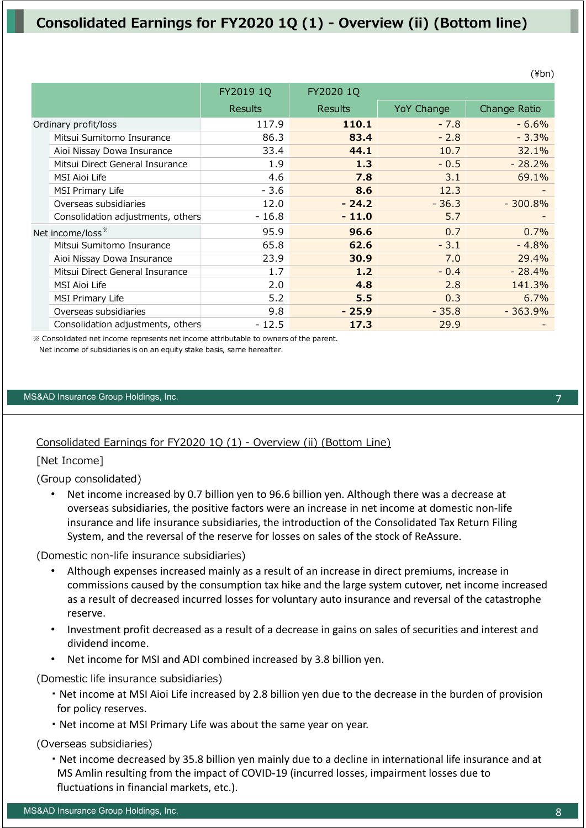## **Consolidated Earnings for FY2020 1Q (1) - Overview (ii) (Bottom line)**

|                                   | FY2019 1Q      | FY2020 1Q      |            |              |
|-----------------------------------|----------------|----------------|------------|--------------|
|                                   | <b>Results</b> | <b>Results</b> | YoY Change | Change Ratio |
| Ordinary profit/loss              | 117.9          | 110.1          | $-7.8$     | $-6.6%$      |
| Mitsui Sumitomo Insurance         | 86.3           | 83.4           | $-2.8$     | $-3.3%$      |
| Aioi Nissay Dowa Insurance        | 33.4           | 44.1           | 10.7       | 32.1%        |
| Mitsui Direct General Insurance   | 1.9            | 1.3            | $-0.5$     | $-28.2%$     |
| <b>MSI Aioi Life</b>              | 4.6            | 7.8            | 3.1        | 69.1%        |
| <b>MSI Primary Life</b>           | $-3.6$         | 8.6            | 12.3       |              |
| Overseas subsidiaries             | 12.0           | $-24.2$        | $-36.3$    | $-300.8%$    |
| Consolidation adjustments, others | - 16.8         | $-11.0$        | 5.7        |              |
| Net income/loss <sup>**</sup>     | 95.9           | 96.6           | 0.7        | 0.7%         |
| Mitsui Sumitomo Insurance         | 65.8           | 62.6           | $-3.1$     | $-4.8%$      |
| Aioi Nissay Dowa Insurance        | 23.9           | 30.9           | 7.0        | 29.4%        |
| Mitsui Direct General Insurance   | 1.7            | 1.2            | $-0.4$     | $-28.4%$     |
| MSI Aioi Life                     | 2.0            | 4.8            | 2.8        | 141.3%       |
| <b>MSI Primary Life</b>           | 5.2            | 5.5            | 0.3        | 6.7%         |
| Overseas subsidiaries             | 9.8            | $-25.9$        | $-35.8$    | $-363.9%$    |
| Consolidation adjustments, others | $-12.5$        | 17.3           | 29.9       |              |

※ Consolidated net income represents net income attributable to owners of the parent. Net income of subsidiaries is on an equity stake basis, same hereafter.

#### MS&AD Insurance Group Holdings, Inc. 7

### Consolidated Earnings for FY2020 1Q (1) - Overview (ii) (Bottom Line)

### [Net Income]

(Group consolidated)

• Net income increased by 0.7 billion yen to 96.6 billion yen. Although there was a decrease at overseas subsidiaries, the positive factors were an increase in net income at domestic non‐life insurance and life insurance subsidiaries, the introduction of the Consolidated Tax Return Filing System, and the reversal of the reserve for losses on sales of the stock of ReAssure.

(Domestic non-life insurance subsidiaries)

- Although expenses increased mainly as a result of an increase in direct premiums, increase in commissions caused by the consumption tax hike and the large system cutover, net income increased as a result of decreased incurred losses for voluntary auto insurance and reversal of the catastrophe reserve.
- Investment profit decreased as a result of a decrease in gains on sales of securities and interest and dividend income.
- Net income for MSI and ADI combined increased by 3.8 billion yen.

(Domestic life insurance subsidiaries)

- ・ Net income at MSI Aioi Life increased by 2.8 billion yen due to the decrease in the burden of provision for policy reserves.
- ・ Net income at MSI Primary Life was about the same year on year.

(Overseas subsidiaries)

・ Net income decreased by 35.8 billion yen mainly due to a decline in international life insurance and at MS Amlin resulting from the impact of COVID‐19 (incurred losses, impairment losses due to fluctuations in financial markets, etc.).

(¥bn)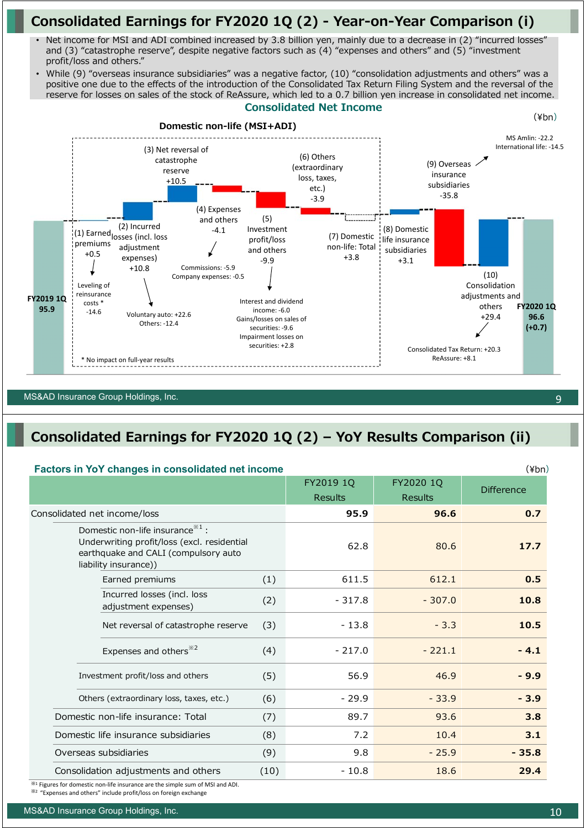## **Consolidated Earnings for FY2020 1Q (2) - Year-on-Year Comparison (i)**

- Net income for MSI and ADI combined increased by 3.8 billion yen, mainly due to a decrease in (2) "incurred losses" and (3) "catastrophe reserve", despite negative factors such as  $(4)$  "expenses and others" and (5) "investment profit/loss and others."
- While (9) "overseas insurance subsidiaries" was a negative factor, (10) "consolidation adjustments and others" was a positive one due to the effects of the introduction of the Consolidated Tax Return Filing System and the reversal of the reserve for losses on sales of the stock of ReAssure, which led to a 0.7 billion yen increase in consolidated net income.



#### MS&AD Insurance Group Holdings, Inc. 9

## **Consolidated Earnings for FY2020 1Q (2) – YoY Results Comparison (ii)**

#### **Factors in YoY changes in consolidated net income**

| - … - - … - -                                                                                                                                               |      | FY2019 1Q<br><b>Results</b> | FY2020 1Q<br><b>Results</b> | <b>Difference</b> |
|-------------------------------------------------------------------------------------------------------------------------------------------------------------|------|-----------------------------|-----------------------------|-------------------|
| Consolidated net income/loss                                                                                                                                |      | 95.9                        | 96.6                        | 0.7               |
| Domestic non-life insurance <sup>*1</sup> :<br>Underwriting profit/loss (excl. residential<br>earthquake and CALI (compulsory auto<br>liability insurance)) |      | 62.8                        | 80.6                        | 17.7              |
| Earned premiums                                                                                                                                             | (1)  | 611.5                       | 612.1                       | 0.5               |
| Incurred losses (incl. loss<br>adjustment expenses)                                                                                                         | (2)  | $-317.8$                    | $-307.0$                    | 10.8              |
| Net reversal of catastrophe reserve                                                                                                                         | (3)  | $-13.8$                     | $-3.3$                      | 10.5              |
| Expenses and others <sup>*2</sup>                                                                                                                           | (4)  | $-217.0$                    | $-221.1$                    | $-4.1$            |
| Investment profit/loss and others                                                                                                                           | (5)  | 56.9                        | 46.9                        | $-9.9$            |
| Others (extraordinary loss, taxes, etc.)                                                                                                                    | (6)  | $-29.9$                     | $-33.9$                     | $-3.9$            |
| Domestic non-life insurance: Total                                                                                                                          | (7)  | 89.7                        | 93.6                        | 3.8               |
| Domestic life insurance subsidiaries                                                                                                                        | (8)  | 7.2                         | 10.4                        | 3.1               |
| Overseas subsidiaries                                                                                                                                       | (9)  | 9.8                         | $-25.9$                     | $-35.8$           |
| Consolidation adjustments and others                                                                                                                        | (10) | $-10.8$                     | 18.6                        | 29.4              |

※<sup>1</sup> Figures for domestic non‐life insurance are the simple sum of MSI and ADI.

※<sup>2</sup> "Expenses and others" include profit/loss on foreign exchange

(¥bn)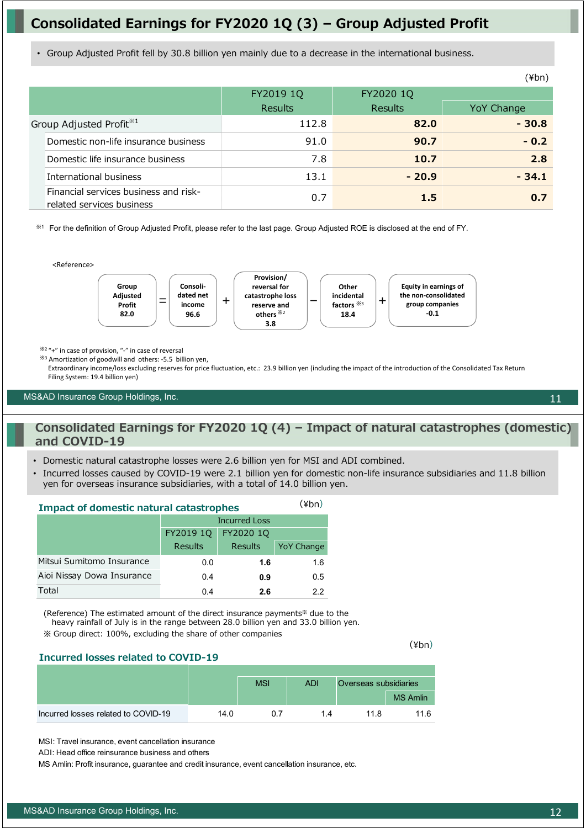## **Consolidated Earnings for FY2020 1Q (3) – Group Adjusted Profit**

• Group Adjusted Profit fell by 30.8 billion yen mainly due to a decrease in the international business.

|                                                                    |                |                | ווט+)      |
|--------------------------------------------------------------------|----------------|----------------|------------|
|                                                                    | FY2019 1Q      | FY2020 1Q      |            |
|                                                                    | <b>Results</b> | <b>Results</b> | YoY Change |
| Group Adjusted Profit <sup>*1</sup>                                | 112.8          | 82.0           | $-30.8$    |
| Domestic non-life insurance business                               | 91.0           | 90.7           | $-0.2$     |
| Domestic life insurance business                                   | 7.8            | 10.7           | 2.8        |
| International business                                             | 13.1           | $-20.9$        | $-34.1$    |
| Financial services business and risk-<br>related services business | 0.7            | 1.5            | 0.7        |

※<sup>1</sup> For the definition of Group Adjusted Profit, please refer to the last page. Group Adjusted ROE is disclosed at the end of FY.



※2 "+" in case of provision, "‐" in case of reversal

※<sup>3</sup> Amortization of goodwill and others: ‐5.5 billion yen,

Extraordinary income/loss excluding reserves for price fluctuation, etc.: 23.9 billion yen (including the impact of the introduction of the Consolidated Tax Return Filing System: 19.4 billion yen)

#### MS&AD Insurance Group Holdings, Inc.

### **Consolidated Earnings for FY2020 1Q (4) – Impact of natural catastrophes (domestic) and COVID-19**

• Domestic natural catastrophe losses were 2.6 billion yen for MSI and ADI combined.

• Incurred losses caused by COVID-19 were 2.1 billion yen for domestic non-life insurance subsidiaries and 11.8 billion yen for overseas insurance subsidiaries, with a total of 14.0 billion yen.

| <b>Impact of domestic natural catastrophes</b> | (¥bn)                |                |                   |
|------------------------------------------------|----------------------|----------------|-------------------|
|                                                | <b>Incurred Loss</b> |                |                   |
|                                                | FY2019 10            |                |                   |
|                                                | <b>Results</b>       | <b>Results</b> | <b>YoY Change</b> |
| Mitsui Sumitomo Insurance                      | 0.0                  | 1.6            | 1.6               |
| Aioi Nissay Dowa Insurance                     | 0.4                  | 0.9            | 0.5               |
| Total                                          | 0.4                  | 2.6            | っっ                |

(Reference) The estimated amount of the direct insurance payments※ due to the heavy rainfall of July is in the range between 28.0 billion yen and 33.0 billion yen. ※ Group direct: 100%, excluding the share of other companies

(¥bn)

#### **Incurred losses related to COVID-19**

|                                     |      | <b>MSI</b> | <b>ADI</b> | Overseas subsidiaries |                 |
|-------------------------------------|------|------------|------------|-----------------------|-----------------|
|                                     |      |            |            |                       | <b>MS Amlin</b> |
| Incurred losses related to COVID-19 | 14.0 | 0.7        | 14         | 11 R                  | 11.6            |

MSI: Travel insurance, event cancellation insurance

ADI: Head office reinsurance business and others

MS Amlin: Profit insurance, guarantee and credit insurance, event cancellation insurance, etc.

11

 $(Y|b-a)$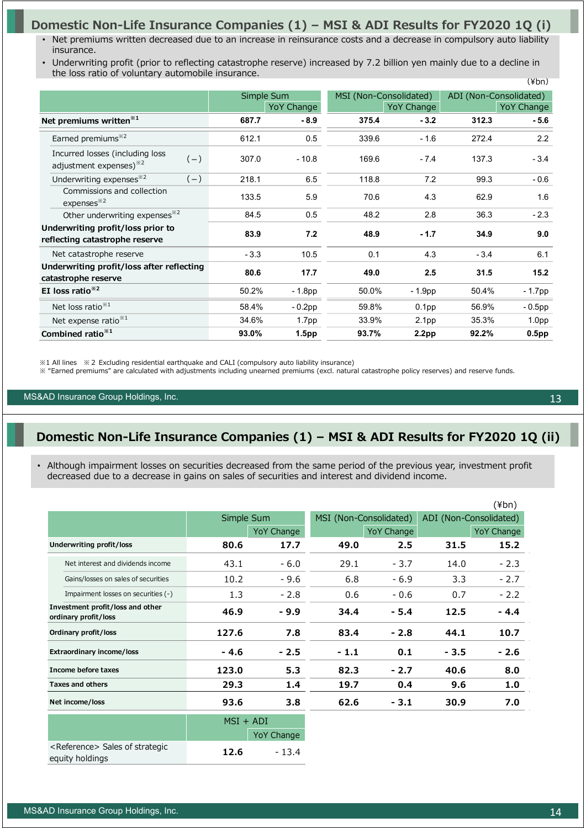## **Domestic Non-Life Insurance Companies (1) – MSI & ADI Results for FY2020 1Q (i)**

- Net premiums written decreased due to an increase in reinsurance costs and a decrease in compulsory auto liability insurance.
- $(Y<sub>bn</sub>)$ • Underwriting profit (prior to reflecting catastrophe reserve) increased by 7.2 billion yen mainly due to a decline in the loss ratio of voluntary automobile insurance.

|                                                                                |        |                   |                        |                   |        | $\lambda + 1$          |
|--------------------------------------------------------------------------------|--------|-------------------|------------------------|-------------------|--------|------------------------|
|                                                                                |        | Simple Sum        | MSI (Non-Consolidated) |                   |        | ADI (Non-Consolidated) |
|                                                                                |        | <b>YoY Change</b> |                        | YoY Change        |        | YoY Change             |
| Net premiums written <sup>*1</sup>                                             | 687.7  | $-8.9$            | 375.4                  | $-3.2$            | 312.3  | $-5.6$                 |
| Earned premiums <sup>*2</sup>                                                  | 612.1  | 0.5               | 339.6                  | $-1.6$            | 272.4  | 2.2                    |
| Incurred losses (including loss<br>$(-)$<br>adjustment expenses) <sup>32</sup> | 307.0  | $-10.8$           | 169.6                  | $-7.4$            | 137.3  | $-3.4$                 |
| Underwriting expenses <sup>*2</sup><br>$(-)$                                   | 218.1  | 6.5               | 118.8                  | 7.2               | 99.3   | $-0.6$                 |
| Commissions and collection<br>expenses <sup>*2</sup>                           | 133.5  | 5.9               | 70.6                   | 4.3               | 62.9   | 1.6                    |
| Other underwriting expenses <sup>362</sup>                                     | 84.5   | 0.5               | 48.2                   | 2.8               | 36.3   | $-2.3$                 |
| Underwriting profit/loss prior to<br>reflecting catastrophe reserve            | 83.9   | 7.2               | 48.9                   | $-1.7$            | 34.9   | 9.0                    |
| Net catastrophe reserve                                                        | $-3.3$ | 10.5              | 0.1                    | 4.3               | $-3.4$ | 6.1                    |
| Underwriting profit/loss after reflecting<br>catastrophe reserve               | 80.6   | 17.7              | 49.0                   | 2.5               | 31.5   | 15.2                   |
| EI loss ratio $*^{2}$                                                          | 50.2%  | $-1.8pp$          | 50.0%                  | $-1.9pp$          | 50.4%  | - 1.7pp                |
| Net loss ratio <sup>*1</sup>                                                   | 58.4%  | $-0.2$ pp         | 59.8%                  | 0.1 <sub>pp</sub> | 56.9%  | $-0.5$ pp              |
| Net expense ratio <sup>*1</sup>                                                | 34.6%  | 1.7 <sub>pp</sub> | 33.9%                  | 2.1 <sub>pp</sub> | 35.3%  | 1.0 <sub>pp</sub>      |
| Combined ratio $*1$                                                            | 93.0%  | 1.5 <sub>pp</sub> | 93.7%                  | 2.2 <sub>pp</sub> | 92.2%  | 0.5 <sub>pp</sub>      |

※1 All lines ※2 Excluding residential earthquake and CALI (compulsory auto liability insurance)

※ "Earned premiums" are calculated with adjustments including unearned premiums (excl. natural catastrophe policy reserves) and reserve funds.

MS&AD Insurance Group Holdings, Inc. 13 Apr 2012 12: 13 Apr 2012 12: 13 Apr 2012 13: 13 Apr 2013 13: 13 Apr 2013 13: 13 Apr 2013 13: 13 Apr 2013 13: 13 Apr 2013 13: 13 Apr 2013 13: 13 Apr 2013 13: 13 Apr 2013 13: 13: 13: 1

### **Domestic Non-Life Insurance Companies (1) – MSI & ADI Results for FY2020 1Q (ii)**

• Although impairment losses on securities decreased from the same period of the previous year, investment profit decreased due to a decrease in gains on sales of securities and interest and dividend income.

|                                                                |             |                   |                        |                   |       | $(\n{Fbn})$            |
|----------------------------------------------------------------|-------------|-------------------|------------------------|-------------------|-------|------------------------|
|                                                                | Simple Sum  |                   | MSI (Non-Consolidated) |                   |       | ADI (Non-Consolidated) |
|                                                                |             | <b>YoY Change</b> |                        | <b>YoY Change</b> |       | <b>YoY Change</b>      |
| Underwriting profit/loss                                       | 80.6        | 17.7              | 49.0                   | 2.5               | 31.5  | 15.2                   |
| Net interest and dividends income                              | 43.1        | $-6.0$            | 29.1                   | $-3.7$            | 14.0  | $-2.3$                 |
| Gains/losses on sales of securities                            | 10.2        | $-9.6$            | 6.8                    | $-6.9$            | 3.3   | $-2.7$                 |
| Impairment losses on securities (-)                            | 1.3         | $-2.8$            | 0.6                    | $-0.6$            | 0.7   | $-2.2$                 |
| Investment profit/loss and other<br>ordinary profit/loss       | 46.9        | $-9.9$            | 34.4                   | - 5.4             | 12.5  | $-4.4$                 |
| Ordinary profit/loss                                           | 127.6       | 7.8               | 83.4                   | $-2.8$            | 44.1  | 10.7                   |
| <b>Extraordinary income/loss</b>                               | - 4.6       | $-2.5$            | $-1.1$                 | 0.1               | - 3.5 | - 2.6                  |
| Income before taxes                                            | 123.0       | 5.3               | 82.3                   | $-2.7$            | 40.6  | 8.0                    |
| <b>Taxes and others</b>                                        | 29.3        | 1.4               | 19.7                   | 0.4               | 9.6   | 1.0                    |
| Net income/loss                                                | 93.6        | 3.8               | 62.6                   | $-3.1$            | 30.9  | 7.0                    |
|                                                                | $MSI + ADI$ |                   |                        |                   |       |                        |
|                                                                |             | <b>YoY Change</b> |                        |                   |       |                        |
| <reference> Sales of strategic<br/>equity holdings</reference> | 12.6        | $-13.4$           |                        |                   |       |                        |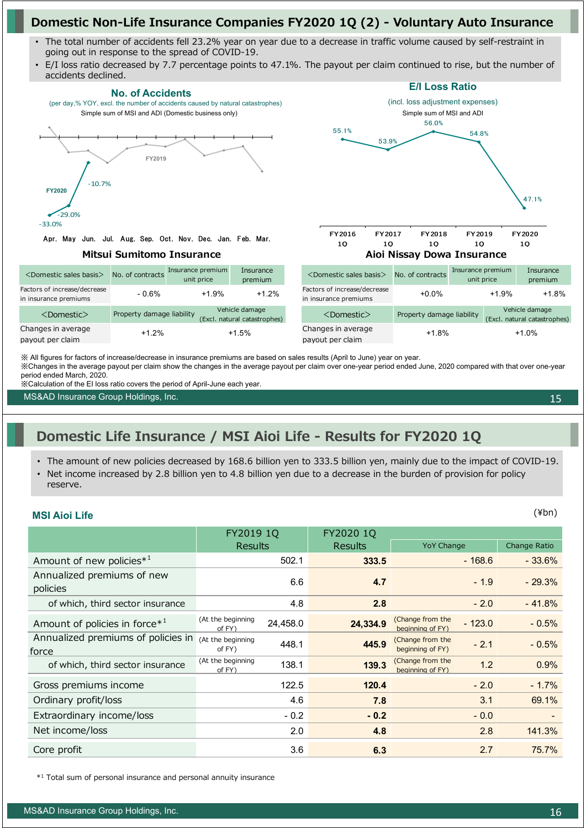## **Domestic Non-Life Insurance Companies FY2020 1Q (2) - Voluntary Auto Insurance**

- The total number of accidents fell 23.2% year on year due to a decrease in traffic volume caused by self-restraint in going out in response to the spread of COVID-19.
- E/I loss ratio decreased by 7.7 percentage points to 47.1%. The payout per claim continued to rise, but the number of accidents declined.



※Changes in the average payout per claim show the changes in the average payout per claim over one-year period ended June, 2020 compared with that over one-year period ended March, 2020.

※Calculation of the EI loss ratio covers the period of April-June each year.

MS&AD Insurance Group Holdings, Inc.

15

## **Domestic Life Insurance / MSI Aioi Life - Results for FY2020 1Q**

- The amount of new policies decreased by 168.6 billion yen to 333.5 billion yen, mainly due to the impact of COVID-19.
- Net income increased by 2.8 billion yen to 4.8 billion yen due to a decrease in the burden of provision for policy reserve.

### **MSI Aioi Life** (¥bn)

|                                             | FY2019 1Q                   |          | FY2020 1Q      |                                      |          |              |
|---------------------------------------------|-----------------------------|----------|----------------|--------------------------------------|----------|--------------|
|                                             | <b>Results</b>              |          | <b>Results</b> | <b>YoY Change</b>                    |          | Change Ratio |
| Amount of new policies <sup>*1</sup>        |                             | 502.1    |                |                                      | $-168.6$ | $-33.6%$     |
| Annualized premiums of new<br>policies      |                             | 6.6      | 4.7            |                                      | $-1.9$   |              |
| of which, third sector insurance            |                             | 4.8      | 2.8            | $-2.0$                               |          | $-41.8%$     |
| Amount of policies in force* <sup>1</sup>   | (At the beginning<br>of FY) | 24,458.0 | 24,334.9       | (Change from the<br>beginning of FY) | $-123.0$ | $-0.5%$      |
| Annualized premiums of policies in<br>force | (At the beginning<br>of FY) | 448.1    | 445.9          | (Change from the<br>beginning of FY) | $-2.1$   | $-0.5%$      |
| of which, third sector insurance            | (At the beginning<br>of FY) | 138.1    | 139.3          | (Change from the<br>beginning of FY) | 1.2      | 0.9%         |
| Gross premiums income                       |                             | 122.5    | 120.4          |                                      | $-2.0$   | $-1.7%$      |
| Ordinary profit/loss                        |                             | 4.6      | 7.8            |                                      | 3.1      | 69.1%        |
| Extraordinary income/loss                   |                             | $-0.2$   | $-0.2$         |                                      | $-0.0$   |              |
| Net income/loss                             |                             | 2.0      | 4.8            |                                      | 2.8      | 141.3%       |
| Core profit                                 |                             | 3.6      | 6.3            |                                      | 2.7      | 75.7%        |

\*1 Total sum of personal insurance and personal annuity insurance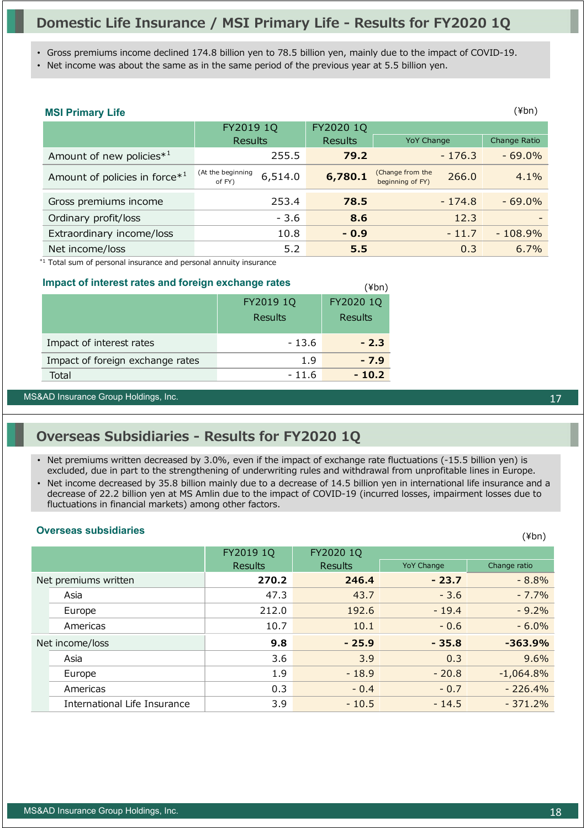## **Domestic Life Insurance / MSI Primary Life - Results for FY2020 1Q**

• Gross premiums income declined 174.8 billion yen to 78.5 billion yen, mainly due to the impact of COVID-19.

• Net income was about the same as in the same period of the previous year at 5.5 billion yen.

| <b>MSI Primary Life</b>                   |                                        |                |                                               | (¥bn)               |
|-------------------------------------------|----------------------------------------|----------------|-----------------------------------------------|---------------------|
|                                           | FY2019 1Q                              | FY2020 1Q      |                                               |                     |
|                                           | <b>Results</b>                         | <b>Results</b> | <b>YoY Change</b>                             | <b>Change Ratio</b> |
| Amount of new policies <sup>*1</sup>      | 255.5                                  | 79.2           | $-176.3$                                      | $-69.0%$            |
| Amount of policies in force* <sup>1</sup> | (At the beginning<br>6,514.0<br>of FY) | 6,780.1        | (Change from the<br>266.0<br>beginning of FY) | 4.1%                |
| Gross premiums income                     | 253.4                                  | 78.5           | $-174.8$                                      | $-69.0\%$           |
| Ordinary profit/loss                      | $-3.6$                                 | 8.6            | 12.3                                          |                     |
| Extraordinary income/loss                 | 10.8                                   | $-0.9$         | $-11.7$                                       | $-108.9%$           |
| Net income/loss                           | 5.2                                    | 5.5            | 0.3                                           | 6.7%                |

(¥bn)

\*1 Total sum of personal insurance and personal annuity insurance

#### **Impact of interest rates and foreign exchange rates**

|                                  | FY2019 1Q<br><b>Results</b> | FY2020 1Q<br><b>Results</b> |
|----------------------------------|-----------------------------|-----------------------------|
| Impact of interest rates         | $-13.6$                     | $-2.3$                      |
| Impact of foreign exchange rates | 1.9                         | $-7.9$                      |
| Total                            | - 11.6                      | $-10.2$                     |

#### MS&AD Insurance Group Holdings, Inc. 17

## **Overseas Subsidiaries - Results for FY2020 1Q**

- Net premiums written decreased by 3.0%, even if the impact of exchange rate fluctuations (-15.5 billion yen) is excluded, due in part to the strengthening of underwriting rules and withdrawal from unprofitable lines in Europe.
- Net income decreased by 35.8 billion mainly due to a decrease of 14.5 billion yen in international life insurance and a decrease of 22.2 billion yen at MS Amlin due to the impact of COVID-19 (incurred losses, impairment losses due to fluctuations in financial markets) among other factors.

## **Overseas subsidiaries** (¥bn)

|                              | FY2019 1Q      | FY2020 1Q      |                   |              |
|------------------------------|----------------|----------------|-------------------|--------------|
|                              | <b>Results</b> | <b>Results</b> | <b>YoY Change</b> | Change ratio |
| Net premiums written         | 270.2          | 246.4          | $-23.7$           | $-8.8%$      |
| Asia                         | 47.3           | 43.7           | $-3.6$            | $-7.7%$      |
| Europe                       | 212.0          | 192.6          | $-19.4$           | $-9.2%$      |
| Americas                     | 10.7           | 10.1           | $-0.6$            | $-6.0\%$     |
| Net income/loss              | 9.8            | $-25.9$        | $-35.8$           | $-363.9%$    |
| Asia                         | 3.6            | 3.9            | 0.3               | 9.6%         |
| Europe                       | 1.9            | $-18.9$        | $-20.8$           | $-1,064.8%$  |
| Americas                     | 0.3            | $-0.4$         | $-0.7$            | $-226.4%$    |
| International Life Insurance | 3.9            | $-10.5$        | $-14.5$           | $-371.2%$    |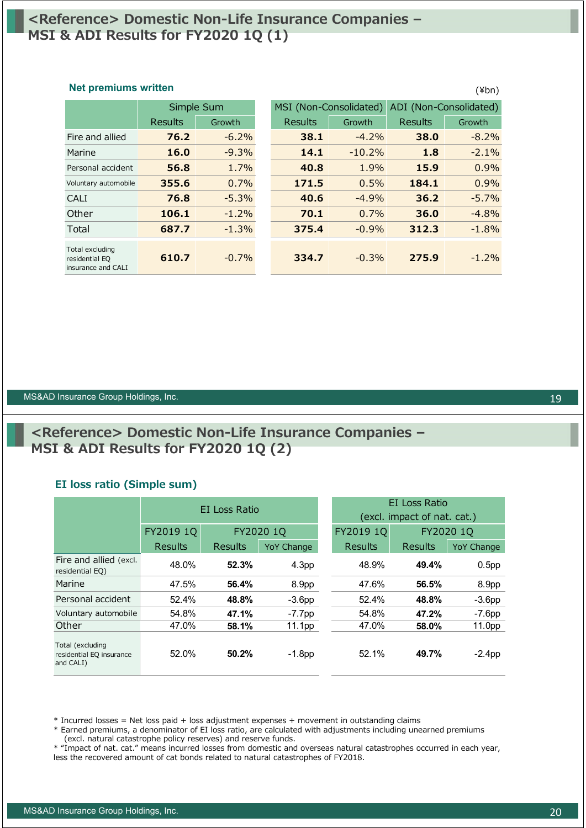## **<Reference> Domestic Non-Life Insurance Companies – MSI & ADI Results for FY2020 1Q (1)**

#### **Net premiums written** (\times\) (\times\) (\times\) (\times\) (\times\) (\times\) (\times\) (\times\) (\times\) (\times\) (\times\) (\times\) (\times\) (\times\) (\times\) (\times\) (\times\) (\times\) (\times\) (\times\)

|                                                         | Simple Sum |          | MSI (Non-Consolidated) |          | ADI (Non-Consolidated) |          |
|---------------------------------------------------------|------------|----------|------------------------|----------|------------------------|----------|
|                                                         | Results    | Growth   | Results                | Growth   | Results                | Growth   |
| Fire and allied                                         | 76.2       | $-6.2\%$ | 38.1                   | $-4.2\%$ | 38.0                   | $-8.2\%$ |
| Marine                                                  | 16.0       | $-9.3%$  | 14.1                   | $-10.2%$ | 1.8                    | $-2.1%$  |
| Personal accident                                       | 56.8       | 1.7%     | 40.8                   | 1.9%     | 15.9                   | 0.9%     |
| Voluntary automobile                                    | 355.6      | 0.7%     | 171.5                  | 0.5%     | 184.1                  | 0.9%     |
| CALI                                                    | 76.8       | $-5.3%$  | 40.6                   | $-4.9%$  | 36.2                   | $-5.7%$  |
| Other                                                   | 106.1      | $-1.2\%$ | 70.1                   | 0.7%     | 36.0                   | $-4.8%$  |
| Total                                                   | 687.7      | $-1.3%$  | 375.4                  | $-0.9%$  | 312.3                  | $-1.8%$  |
| Total excluding<br>residential EQ<br>insurance and CALI | 610.7      | $-0.7\%$ | 334.7                  | $-0.3%$  | 275.9                  | $-1.2%$  |

#### MS&AD Insurance Group Holdings, Inc. 1988 and the Contract of Contract of Contract of Contract of Contract of Contract of Contract of Contract of Contract of Contract of Contract of Contract of Contract of Contract of Cont

## **<Reference> Domestic Non-Life Insurance Companies – MSI & ADI Results for FY2020 1Q (2)**

### **EI loss ratio (Simple sum)**

|                                                           |           | EI Loss Ratio |                   | EI Loss Ratio<br>(excl. impact of nat. cat.) |           |                   |  |
|-----------------------------------------------------------|-----------|---------------|-------------------|----------------------------------------------|-----------|-------------------|--|
|                                                           | FY2019 1Q | FY2020 1Q     |                   | FY2019 1Q                                    | FY2020 1Q |                   |  |
|                                                           | Results   | Results       | <b>YoY Change</b> | Results                                      | Results   | <b>YoY Change</b> |  |
| Fire and allied (excl.<br>residential EQ)                 | 48.0%     | 52.3%         | 4.3 <sub>pp</sub> | 48.9%                                        | 49.4%     | 0.5 <sub>pp</sub> |  |
| Marine                                                    | 47.5%     | 56.4%         | 8.9pp             | 47.6%                                        | 56.5%     | 8.9pp             |  |
| Personal accident                                         | 52.4%     | 48.8%         | $-3.6pp$          | 52.4%                                        | 48.8%     | $-3.6pp$          |  |
| Voluntary automobile                                      | 54.8%     | 47.1%         | $-7.7$ pp         | 54.8%                                        | 47.2%     | $-7.6$ pp         |  |
| Other                                                     | 47.0%     | 58.1%         | 11.1pp            | 47.0%                                        | 58.0%     | 11.0pp            |  |
| Total (excluding<br>residential EQ insurance<br>and CALI) | 52.0%     | 50.2%         | $-1.8$ pp         | 52.1%                                        | 49.7%     | $-2.4$ pp         |  |

\* Incurred losses = Net loss paid + loss adjustment expenses + movement in outstanding claims

\* Earned premiums, a denominator of EI loss ratio, are calculated with adjustments including unearned premiums (excl. natural catastrophe policy reserves) and reserve funds.

\* "Impact of nat. cat." means incurred losses from domestic and overseas natural catastrophes occurred in each year, less the recovered amount of cat bonds related to natural catastrophes of FY2018.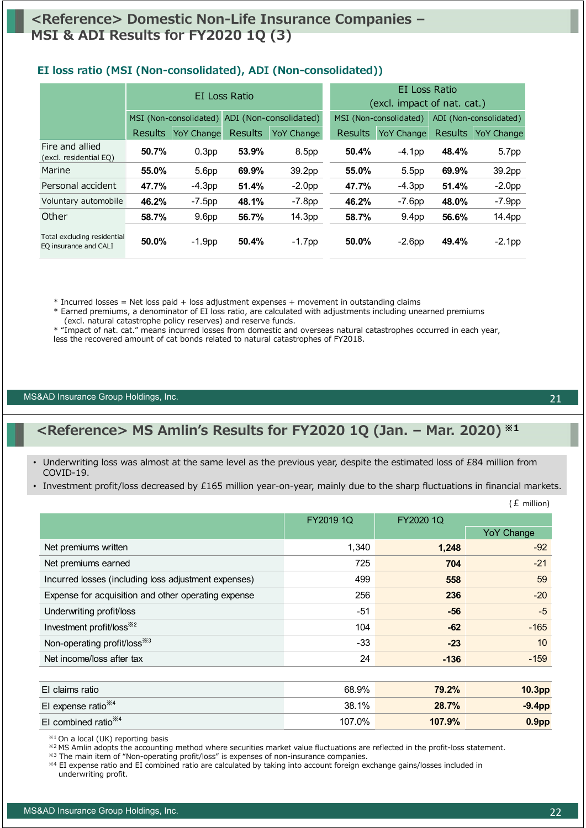## **<Reference> Domestic Non-Life Insurance Companies – MSI & ADI Results for FY2020 1Q (3)**

|                                                      | EI Loss Ratio  |                                                  |                | EI Loss Ratio<br>(excl. impact of nat. cat.) |          |                        |       |                    |
|------------------------------------------------------|----------------|--------------------------------------------------|----------------|----------------------------------------------|----------|------------------------|-------|--------------------|
|                                                      |                | ADI (Non-consolidated)<br>MSI (Non-consolidated) |                | MSI (Non-consolidated)                       |          | ADI (Non-consolidated) |       |                    |
|                                                      | <b>Results</b> | <b>YoY Change</b>                                | <b>Results</b> | <b>YoY Change</b>                            | Results  | <b>YoY Change</b>      |       | Results YoY Change |
| Fire and allied<br>(excl. residential EQ)            | 50.7%          | 0.3 <sub>pp</sub>                                | 53.9%          | 8.5 <sub>pp</sub>                            | 50.4%    | $-4.1pp$               | 48.4% | 5.7pp              |
| Marine                                               | 55.0%          | 5.6pp                                            | 69.9%          | 39.2pp                                       | 55.0%    | 5.5 <sub>pp</sub>      | 69.9% | 39.2pp             |
| Personal accident                                    | 47.7%          | $-4.3pp$                                         | 51.4%          | $-2.0pp$                                     | 47.7%    | $-4.3pp$               | 51.4% | $-2.0pp$           |
| Voluntary automobile                                 | 46.2%          | $-7.5$ pp                                        | 48.1%          | $-7.8pp$                                     | 46.2%    | $-7.6pp$               | 48.0% | $-7.9pp$           |
| Other                                                | 58.7%          | 9.6 <sub>pp</sub>                                | 56.7%          | 14.3pp                                       | 58.7%    | 9.4 <sub>pp</sub>      | 56.6% | 14.4pp             |
| Total excluding residential<br>EQ insurance and CALI | 50.0%          | $-1.9$ pp                                        | 50.4%          | $-1.7$ pp                                    | $50.0\%$ | $-2.6pp$               | 49.4% | $-2.1$ pp          |

### **EI loss ratio (MSI (Non-consolidated), ADI (Non-consolidated))**

\* Incurred losses = Net loss paid + loss adjustment expenses + movement in outstanding claims

\* Earned premiums, a denominator of EI loss ratio, are calculated with adjustments including unearned premiums (excl. natural catastrophe policy reserves) and reserve funds.

\* "Impact of nat. cat." means incurred losses from domestic and overseas natural catastrophes occurred in each year,

less the recovered amount of cat bonds related to natural catastrophes of FY2018.

#### MS&AD Insurance Group Holdings, Inc. 21

## **<Reference> MS Amlin's Results for FY2020 1Q (Jan. – Mar. 2020) ※1**

- Underwriting loss was almost at the same level as the previous year, despite the estimated loss of £84 million from COVID-19.
- Investment profit/loss decreased by £165 million year-on-year, mainly due to the sharp fluctuations in financial markets.

|                                                      |           |           | $(E \text{ million})$ |
|------------------------------------------------------|-----------|-----------|-----------------------|
|                                                      | FY2019 1Q | FY2020 1Q |                       |
|                                                      |           |           | <b>YoY Change</b>     |
| Net premiums written                                 | 1,340     | 1,248     | $-92$                 |
| Net premiums earned                                  | 725       | 704       | $-21$                 |
| Incurred losses (including loss adjustment expenses) | 499       | 558       | 59                    |
| Expense for acquisition and other operating expense  | 256       | 236       | $-20$                 |
| Underwriting profit/loss                             | $-51$     | $-56$     | $-5$                  |
| Investment profit/loss <sup>※2</sup>                 | 104       | $-62$     | $-165$                |
| Non-operating profit/loss <sup>363</sup>             | $-33$     | $-23$     | 10                    |
| Net income/loss after tax                            | 24        | $-136$    | $-159$                |
|                                                      |           |           |                       |
| El claims ratio                                      | 68.9%     | 79.2%     | 10.3pp                |
| El expense ratio <sup>*4</sup>                       | 38.1%     | 28.7%     | $-9.4pp$              |
|                                                      |           |           |                       |

EI combined ratio※4 107.0% **107.9% 0.9pp**

※1 On a local (UK) reporting basis

※2 MS Amlin adopts the accounting method where securities market value fluctuations are reflected in the profit-loss statement.

※3 The main item of "Non-operating profit/loss" is expenses of non-insurance companies.

※4 EI expense ratio and EI combined ratio are calculated by taking into account foreign exchange gains/losses included in underwriting profit.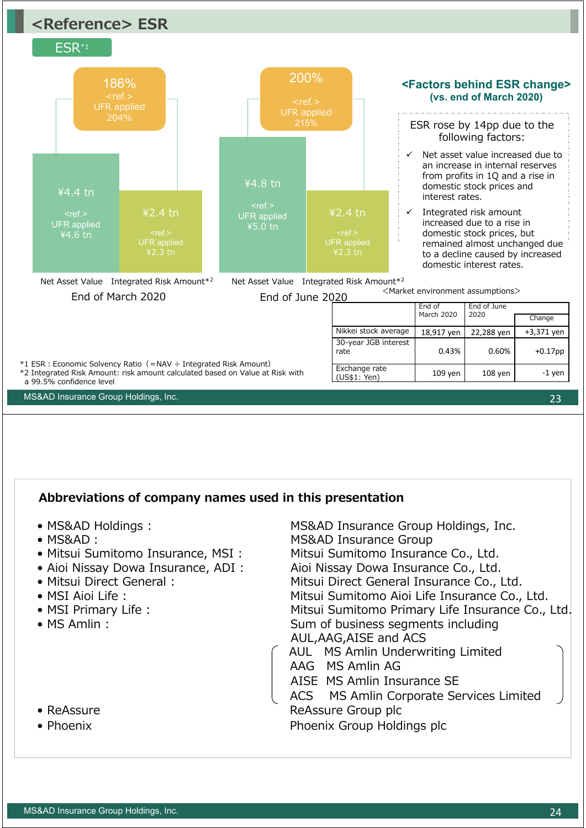

- AISE MS Amlin Insurance SE
- ACS MS Amlin Corporate Services Limited • ReAssure **Reassure Group plc** • Phoenix **Phoenix** Phoenix Group Holdings plc
- 
-